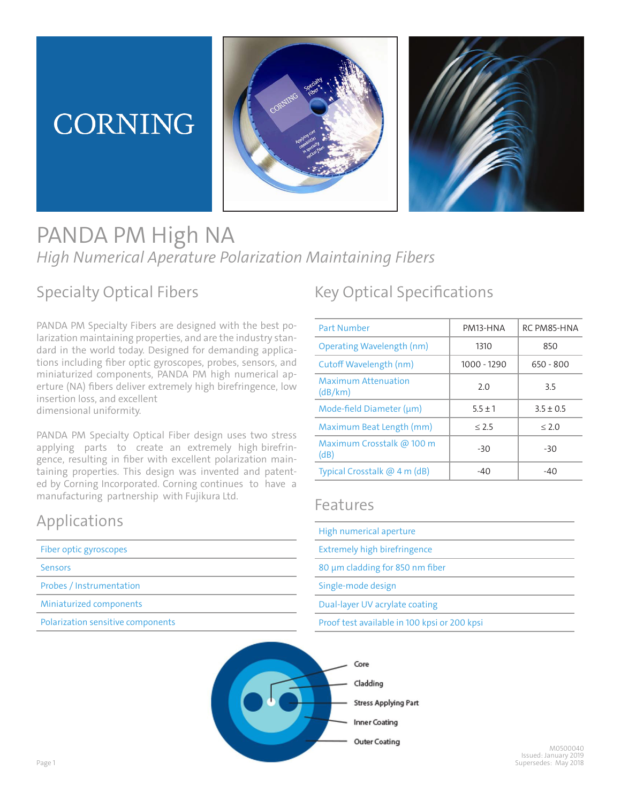# CORNING





## PANDA PM High NA *High Numerical Aperature Polarization Maintaining Fibers*

#### Specialty Optical Fibers

PANDA PM Specialty Fibers are designed with the best polarization maintaining properties, and are the industry standard in the world today. Designed for demanding applications including fiber optic gyroscopes, probes, sensors, and miniaturized components, PANDA PM high numerical aperture (NA) fibers deliver extremely high birefringence, low insertion loss, and excellent dimensional uniformity.

PANDA PM Specialty Optical Fiber design uses two stress applying parts to create an extremely high birefringence, resulting in fiber with excellent polarization maintaining properties. This design was invented and patented by Corning Incorporated. Corning continues to have a manufacturing partnership with Fujikura Ltd.

#### Applications

| Fiber optic gyroscopes            |
|-----------------------------------|
| <b>Sensors</b>                    |
| Probes / Instrumentation          |
| Miniaturized components           |
| Polarization sensitive components |

### Key Optical Specifications

| <b>Part Number</b>                    | PM13-HNA    | RC PM85-HNA   |
|---------------------------------------|-------------|---------------|
| Operating Wavelength (nm)             | 1310        | 850           |
| Cutoff Wavelength (nm)                | 1000 - 1290 | $650 - 800$   |
| <b>Maximum Attenuation</b><br>(dB/km) | 2.0         | 3.5           |
| Mode-field Diameter (um)              | $5.5 \pm 1$ | $3.5 \pm 0.5$ |
| Maximum Beat Length (mm)              | < 2.5       | < 2.0         |
| Maximum Crosstalk @ 100 m<br>(dB)     | $-30$       | $-30$         |
| Typical Crosstalk @ 4 m (dB)          | $-40$       | -40           |

#### Features

| High numerical aperture                      |
|----------------------------------------------|
| Extremely high birefringence                 |
| 80 µm cladding for 850 nm fiber              |
| Single-mode design                           |
| Dual-layer UV acrylate coating               |
| Proof test available in 100 kpsi or 200 kpsi |